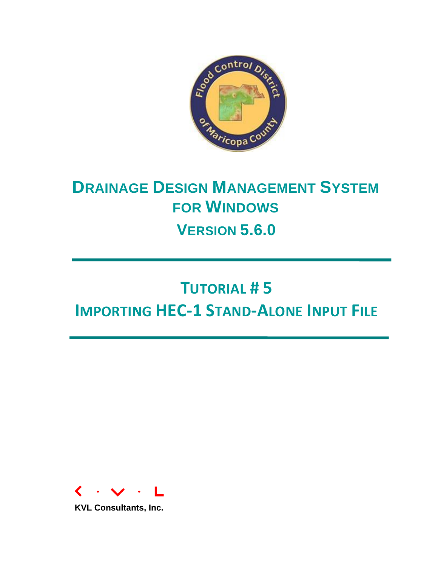

## **DRAINAGE DESIGN MANAGEMENT SYSTEM FOR WINDOWS VERSION 5.6.0**

# **TUTORIAL # 5 IMPORTING HEC-1 STAND-ALONE INPUT FILE**



**KVL Consultants, Inc.**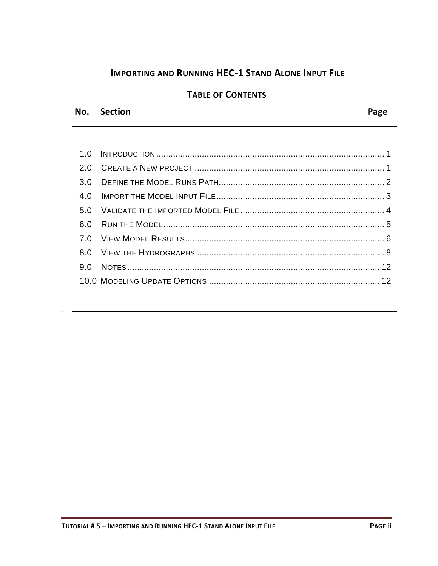#### **IMPORTING AND RUNNING HEC-1 STAND ALONE INPUT FILE**

#### **TABLE OF CONTENTS**

#### No. Section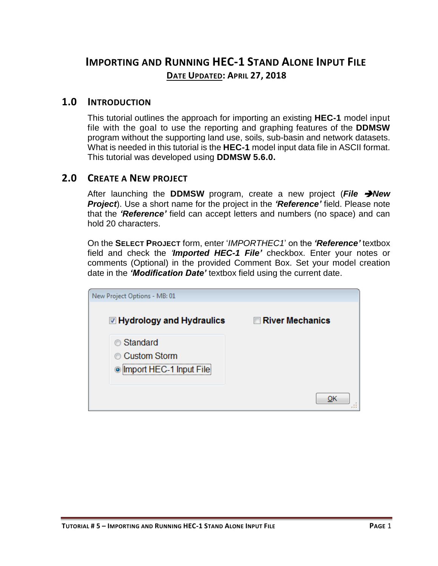### **IMPORTING AND RUNNING HEC-1 STAND ALONE INPUT FILE DATE UPDATED: APRIL 27, 2018**

#### <span id="page-2-0"></span>**1.0 INTRODUCTION**

This tutorial outlines the approach for importing an existing **HEC-1** model input file with the goal to use the reporting and graphing features of the **DDMSW** program without the supporting land use, soils, sub-basin and network datasets. What is needed in this tutorial is the **HEC-1** model input data file in ASCII format. This tutorial was developed using **DDMSW 5.6.0.**

#### <span id="page-2-1"></span>**2.0 CREATE A NEW PROJECT**

After launching the **DDMSW** program, create a new project (*File New Project*). Use a short name for the project in the *'Reference'* field. Please note that the *'Reference'* field can accept letters and numbers (no space) and can hold 20 characters.

On the **SELECT PROJECT** form, enter '*IMPORTHEC1*' on the *'Reference'* textbox field and check the *'Imported HEC-1 File'* checkbox. Enter your notes or comments (Optional) in the provided Comment Box. Set your model creation date in the *'Modification Date'* textbox field using the current date.

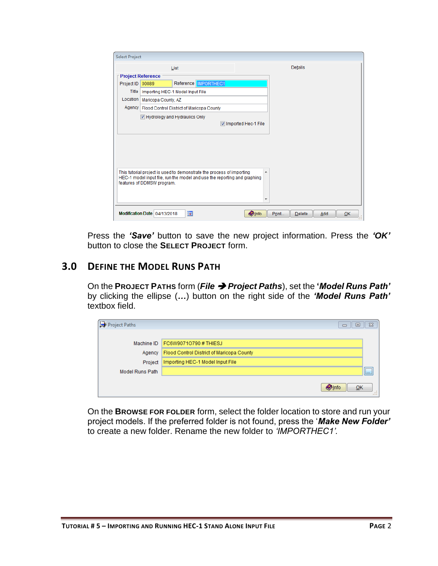|              |                                                    | List |                                                                                                                                                   |                     |   | Details |  |
|--------------|----------------------------------------------------|------|---------------------------------------------------------------------------------------------------------------------------------------------------|---------------------|---|---------|--|
|              | <b>Project Reference</b>                           |      |                                                                                                                                                   |                     |   |         |  |
| Project ID   | 00089                                              |      | Reference MPORTHEC1                                                                                                                               |                     |   |         |  |
| <b>Title</b> | Importing HEC-1 Model Input File                   |      |                                                                                                                                                   |                     |   |         |  |
| Location     | Maricopa County, AZ                                |      |                                                                                                                                                   |                     |   |         |  |
|              | Agency   Flood Control District of Maricopa County |      |                                                                                                                                                   |                     |   |         |  |
|              | Hydrology and Hydraulics Only                      |      |                                                                                                                                                   |                     |   |         |  |
|              |                                                    |      |                                                                                                                                                   | Imported Hec-1 File |   |         |  |
|              |                                                    |      |                                                                                                                                                   |                     |   |         |  |
|              |                                                    |      |                                                                                                                                                   |                     |   |         |  |
|              |                                                    |      |                                                                                                                                                   |                     |   |         |  |
|              |                                                    |      |                                                                                                                                                   |                     |   |         |  |
|              |                                                    |      |                                                                                                                                                   |                     |   |         |  |
|              |                                                    |      | This tutorial project is used to demonstrate the process of importing<br>HEC-1 model input file, run the model and use the reporting and graphing |                     | ▲ |         |  |
|              | features of DDMSW program.                         |      |                                                                                                                                                   |                     |   |         |  |
|              |                                                    |      |                                                                                                                                                   |                     |   |         |  |
|              |                                                    |      |                                                                                                                                                   |                     |   |         |  |
|              |                                                    |      |                                                                                                                                                   |                     | ٠ |         |  |
|              |                                                    |      |                                                                                                                                                   |                     |   |         |  |

Press the *'Save'* button to save the new project information. Press the *'OK'* button to close the **SELECT PROJECT** form.

#### <span id="page-3-0"></span>**3.0 DEFINE THE MODEL RUNS PATH**

On the **PROJECT PATHS** form (*File Project Paths*), set the **'***Model Runs Path'* by clicking the ellipse (*…*) button on the right side of the *'Model Runs Path'*  textbox field.

| Project Paths   | ▣                                         | $\Sigma$                            |
|-----------------|-------------------------------------------|-------------------------------------|
|                 |                                           |                                     |
| Machine ID      | FC6W9071O790#THIESJ                       |                                     |
| Agency          | Flood Control District of Maricopa County |                                     |
| Project         | Importing HEC-1 Model Input File          |                                     |
| Model Runs Path |                                           | <b>F</b> *********<br><b>I</b> land |
|                 | <b>Olnfo</b><br>QK                        |                                     |

On the **BROWSE FOR FOLDER** form, select the folder location to store and run your project models. If the preferred folder is not found, press the '*Make New Folder'*  to create a new folder. Rename the new folder to *'IMPORTHEC1'.*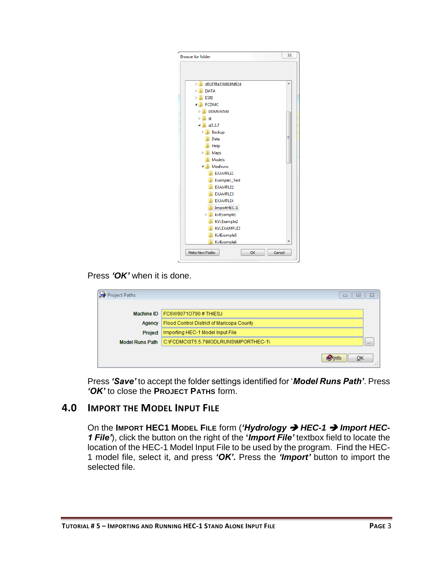| <b>Browse for folder</b>        | X |
|---------------------------------|---|
|                                 |   |
|                                 |   |
| d01878a33b918fd62d<br>Þ         | ۸ |
| <b>DATA</b><br>Ď                |   |
| <b>ESRI</b><br>D                |   |
| <b>FCDMC</b>                    |   |
| DDMSW530<br>Ь                   |   |
| Þ<br>st                         |   |
| st5.5.7<br>4                    |   |
| Backup<br>D.                    |   |
| Data                            | Ξ |
| Help                            |   |
| Maps<br>$\triangleright$        |   |
| <b>Models</b>                   |   |
| ModIruns<br>◢                   |   |
| <b>EXAMPLE1</b>                 |   |
| Example1_Test                   |   |
| <b>EXAMPLE2</b>                 |   |
| <b>EXAMPLE3</b>                 |   |
| <b>EXAMPLE4</b>                 |   |
| ImportHEC-1                     |   |
| kvlExample1<br>Þ                |   |
| KVLExample2                     |   |
| KVLEXAMPLE3                     |   |
| KvlExample5                     |   |
| KvlExample6                     |   |
| OK<br>Cancel<br>Make New Folder | d |

Press *'OK'* when it is done.

| Project Paths          | ▣<br>$\Box$                               | $\Sigma$ |
|------------------------|-------------------------------------------|----------|
|                        |                                           |          |
| Machine ID             | FC6W9071O790#THIESJ                       |          |
| Agency                 | Flood Control District of Maricopa County |          |
| Project                | Importing HEC-1 Model Input File          |          |
| <b>Model Runs Path</b> | C:\FCDMC\ST5.5.7\MODLRUNS\IMPORTHEC-1\    | $\cdots$ |
|                        |                                           |          |
|                        | $Q$ Info<br>OK                            | $-100$   |

Press *'Save'* to accept the folder settings identified for '*Model Runs Path'*. Press *'OK'* to close the **PROJECT PATHS** form.

#### <span id="page-4-0"></span>**4.0 IMPORT THE MODEL INPUT FILE**

On the **IMPORT HEC1 MODEL FILE** form (*'Hydrology HEC-1 Import HEC-1 File'*), click the button on the right of the **'***Import File'* textbox field to locate the location of the HEC-1 Model Input File to be used by the program. Find the HEC-1 model file, select it, and press *'OK'.* Press the *'Import'* button to import the selected file.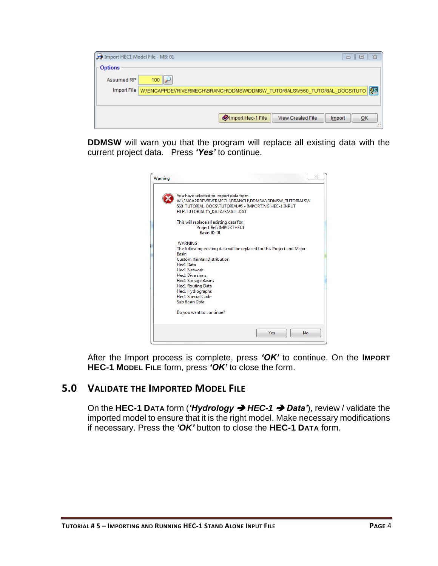| Import HEC1 Model File - MB: 01 | $^{23}$<br>▣<br>$\Box$                                                                 |
|---------------------------------|----------------------------------------------------------------------------------------|
| <b>Options</b>                  |                                                                                        |
| Assumed RP                      | $100$ $\rightarrow$                                                                    |
|                                 | Import File W:\ENGAPPDEVRIVERMECH\BRANCH\DDMSW\DDMSW_TUTORIALS\V560_TUTORIAL_DOCS\TUTO |
|                                 |                                                                                        |
|                                 | Import Hec-1 File<br><b>View Created File</b><br>QK<br>Import                          |
|                                 |                                                                                        |

**DDMSW** will warn you that the program will replace all existing data with the current project data. Press *'Yes'* to continue.

| Warning | 23                                                                                                                                                                                                                                                                                                                                          |
|---------|---------------------------------------------------------------------------------------------------------------------------------------------------------------------------------------------------------------------------------------------------------------------------------------------------------------------------------------------|
|         | You have selected to import data from<br>W:\ENGAPPDEVRIVERMECH\BRANCH\DDMSW\DDMSW_TUTORIALS\V<br>560 TUTORIAL DOCS\TUTORIAL#5 - IMPORTING HEC-1 INPUT<br>FILE\TUTORIAL#5 DATA\SMALL.DAT                                                                                                                                                     |
|         | This will replace all existing data for:<br>Project Ref: IMPORTHEC1<br>Basin ID: 01                                                                                                                                                                                                                                                         |
|         | <b>WARNING</b><br>The following existing data will be replaced for this Project and Major<br><b>Basin:</b><br><b>Custom Rainfall Distribution</b><br>Hec1 Data<br>Hec1 Network<br><b>Hec1 Diversions</b><br><b>Hec1 Storage Basins</b><br><b>Hec1 Routing Data</b><br>Hec1 Hydrographs<br><b>Hec1 Special Code</b><br><b>Sub Basin Data</b> |
|         | Do you want to continue?                                                                                                                                                                                                                                                                                                                    |
|         | <b>Yes</b><br>No                                                                                                                                                                                                                                                                                                                            |

After the Import process is complete, press *'OK'* to continue. On the **IMPORT HEC-1 MODEL FILE** form, press *'OK'* to close the form.

#### <span id="page-5-0"></span>**5.0 VALIDATE THE IMPORTED MODEL FILE**

On the **HEC-1 DATA** form (*'Hydrology HEC-1 Data'*), review / validate the imported model to ensure that it is the right model. Make necessary modifications if necessary. Press the *'OK'* button to close the **HEC-1 DATA** form.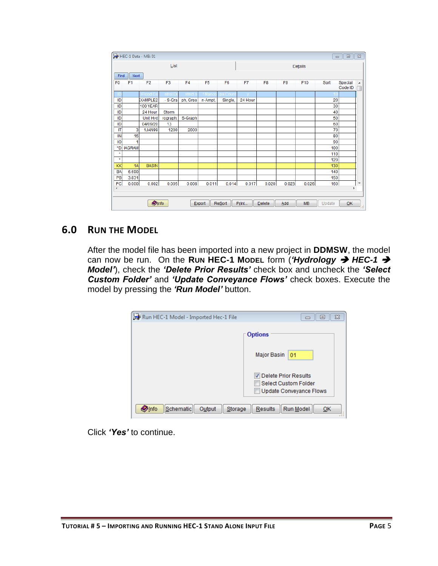|                        |                | HEC-1 Data - MB: 01 |                |                |                |                |         |                |                |         | $\qquad \qquad \Box$ | $\qquad \qquad \Box$ | $\overline{\Sigma}$ |
|------------------------|----------------|---------------------|----------------|----------------|----------------|----------------|---------|----------------|----------------|---------|----------------------|----------------------|---------------------|
|                        |                |                     | List           |                |                |                |         |                |                | Details |                      |                      |                     |
| Find                   | Next           |                     |                |                |                |                |         |                |                |         |                      |                      |                     |
| F <sub>0</sub>         | F <sub>1</sub> | F <sub>2</sub>      | F <sub>3</sub> | F <sub>4</sub> | F <sub>5</sub> | F <sub>6</sub> | F7      | F <sub>8</sub> | F <sub>9</sub> | F10     | Sort                 | Special<br>Code ID   | $\blacktriangle$    |
| Ш                      |                | Flood Co            | ntrol D        | strict         | f Marico       | pa Coun        |         |                |                |         |                      |                      |                     |
| ID                     |                | <b>EXAMPLE2</b>     | - S-Gra        | ph, Gree       | n-Ampt,        | Single,        | 24 Hour |                |                |         | 20                   |                      |                     |
| ID                     |                | 100 YEAR            |                |                |                |                |         |                |                |         | 30                   |                      |                     |
| ID                     |                | 24 Hour             | <b>Storm</b>   |                |                |                |         |                |                |         | 40                   |                      |                     |
| ID                     |                | Unit Hyd            | rograph:       | S-Graph        |                |                |         |                |                |         | 50                   |                      |                     |
| ID                     |                | 04/09/20            | 13             |                |                |                |         |                |                |         | 60                   |                      |                     |
| $\mathsf{I}\mathsf{T}$ | 3              | 1JAN99              | 1200           | 2000           |                |                |         |                |                |         | 70                   |                      |                     |
| IN                     | 15             |                     |                |                |                |                |         |                |                |         | 80                   |                      |                     |
| <b>IO</b>              |                |                     |                |                |                |                |         |                |                |         | 90                   |                      |                     |
| *D                     | <b>IAGRAM</b>  |                     |                |                |                |                |         |                |                |         | 100                  |                      |                     |
| $\star$                |                |                     |                |                |                |                |         |                |                |         | 110                  |                      |                     |
| $\star$                |                |                     |                |                |                |                |         |                |                |         | 120                  |                      |                     |
| KK                     | 1A             | <b>BASIN</b>        |                |                |                |                |         |                |                |         | 130                  |                      |                     |
| BA                     | 6.690          |                     |                |                |                |                |         |                |                |         | 140                  |                      |                     |
| PB                     | 3.831          |                     |                |                |                |                |         |                |                |         | 150                  |                      |                     |
| <b>PC</b>              | 0.000          | 0.002               | 0.005          | 0.008          | 0.011          | 0.014          | 0.017   | 0.020          | 0.023          | 0.026   | 160                  |                      | ٠                   |
| ∢                      |                |                     |                |                |                |                |         |                |                |         |                      | k                    |                     |
|                        |                | <b>O</b> Info       |                |                | Export         | <b>Resort</b>  | Print   | <b>Delete</b>  | Add            | MB      | $U$ pdate            | QK                   | w                   |

#### <span id="page-6-0"></span>**6.0 RUN THE MODEL**

After the model file has been imported into a new project in **DDMSW**, the model can now be run. On the Run HEC-1 Model form ('Hydrology → HEC-1 → *Model'*), check the *'Delete Prior Results'* check box and uncheck the *'Select Custom Folder'* and *'Update Conveyance Flows'* check boxes. Execute the model by pressing the *'Run Model'* button.

| Run HEC-1 Model - Imported Hec-1 File  | 23<br>e                                                                        |
|----------------------------------------|--------------------------------------------------------------------------------|
|                                        | <b>Options</b>                                                                 |
|                                        | Major Basin<br>01                                                              |
|                                        | Delete Prior Results<br>Select Custom Folder<br><b>Update Conveyance Flows</b> |
| Schematic<br>Storage<br>Output<br>Info | Run Model<br>Results<br>OK                                                     |

Click *'Yes'* to continue.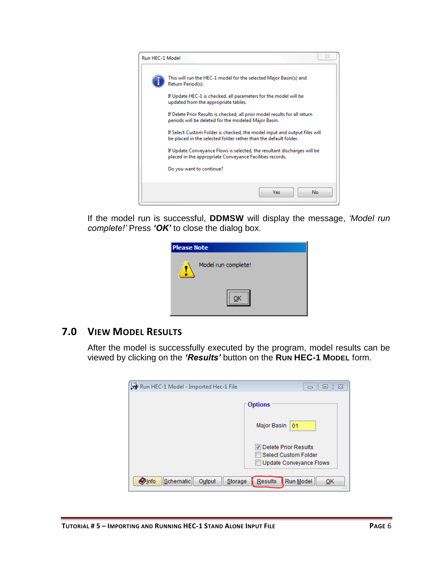

If the model run is successful, **DDMSW** will display the message, *'Model run complete!'* Press *'OK'* to close the dialog box.

| <b>Please Note</b>  |  |  |  |  |  |
|---------------------|--|--|--|--|--|
| Model run complete! |  |  |  |  |  |
|                     |  |  |  |  |  |

#### <span id="page-7-0"></span>**7.0 VIEW MODEL RESULTS**

After the model is successfully executed by the program, model results can be viewed by clicking on the *'Results'* button on the **RUN HEC-1 MODEL** form.

| Run HEC-1 Model - Imported Hec-1 File           | $\Sigma$<br>▣                                                           |
|-------------------------------------------------|-------------------------------------------------------------------------|
|                                                 | <b>Options</b>                                                          |
|                                                 | Major Basin<br>01                                                       |
|                                                 | Delete Prior Results<br>Select Custom Folder<br>Update Conveyance Flows |
| <b>O</b> Info<br>Schematic<br>Storage<br>Output | Run Model<br>Results<br>OK                                              |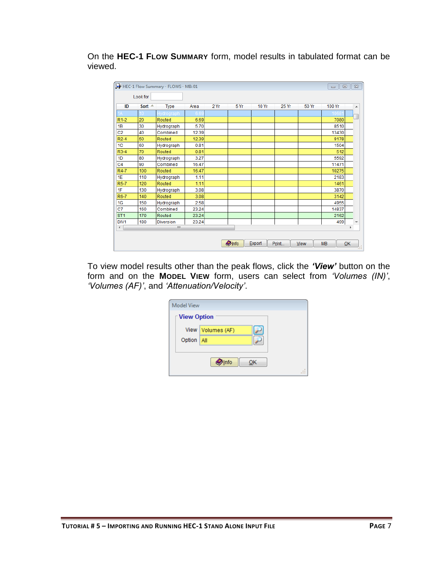On the **HEC-1 FLOW SUMMARY** form, model results in tabulated format can be viewed.

| ID               | Sort $\triangle$ | <b>Type</b>      | Area  | 2Yr | 5 Yr | 10 Yr | 25 Yr | 50 Yr | 100 Yr | A                        |
|------------------|------------------|------------------|-------|-----|------|-------|-------|-------|--------|--------------------------|
|                  |                  | drograph         |       |     |      |       |       |       | 1061   |                          |
| $R1-2$           | 20               | Routed           | 6.69  |     |      |       |       |       | 7080   |                          |
| 1B               | 30               | Hydrograph       | 5.70  |     |      |       |       |       | 8510   |                          |
| C <sub>2</sub>   | 40               | Combined         | 12.39 |     |      |       |       |       | 13430  |                          |
| $R2-4$           | 50               | Routed           | 12.39 |     |      |       |       |       | 9178   |                          |
| 1 <sup>C</sup>   | 60               | Hydrograph       | 0.81  |     |      |       |       |       | 1504   |                          |
| $R3-4$           | 70               | Routed           | 0.81  |     |      |       |       |       | 512    |                          |
| 1D               | 80               | Hydrograph       | 3.27  |     |      |       |       |       | 5592   |                          |
| C <sub>4</sub>   | 90               | Combined         | 16.47 |     |      |       |       |       | 11471  |                          |
| R4-7             | 100              | Routed           | 16.47 |     |      |       |       |       | 10275  |                          |
| 1E               | 110              | Hydrograph       | 1.11  |     |      |       |       |       | 2183   |                          |
| R5-7             | 120              | Routed           | 1.11  |     |      |       |       |       | 1461   |                          |
| 1F               | 130              | Hydrograph       | 3.08  |     |      |       |       |       | 3870   |                          |
| R6-7             | 140              | Routed           | 3.08  |     |      |       |       |       | 3142   |                          |
| 1G               | 150              | Hydrograph       | 2.58  |     |      |       |       |       | 4955   |                          |
| C7               | 160              | Combined         | 23.24 |     |      |       |       |       | 14837  |                          |
| ST <sub>1</sub>  | 170              | Routed           | 23.24 |     |      |       |       |       | 2162   |                          |
| DIV <sub>1</sub> | 180              | <b>Diversion</b> | 23.24 |     |      |       |       |       | 499    | $\overline{\phantom{a}}$ |
| $\leftarrow$     |                  | m                |       |     |      |       |       |       |        | b.                       |

To view model results other than the peak flows, click the *'View'* button on the form and on the **MODEL VIEW** form, users can select from *'Volumes (IN)'*, *'Volumes (AF)'*, and *'Attenuation/Velocity'*.

| <b>Model View</b> |                    |
|-------------------|--------------------|
| ⊺ View Option     |                    |
|                   | View Volumes (AF)  |
| Option   All      |                    |
|                   | <b>Olnfo</b><br>OK |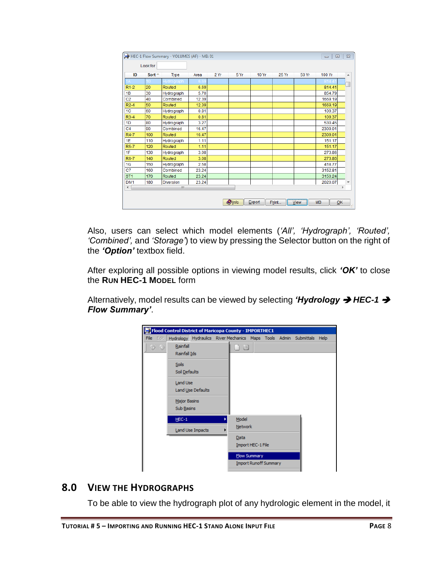| ID                   | $Sort -$ | <b>Type</b>      | Area  | 2Yr | 5 Yr | 10 Yr | <b>25 Yr</b> | 50 Yr | 100 Yr  |   |
|----------------------|----------|------------------|-------|-----|------|-------|--------------|-------|---------|---|
|                      |          | ydrograph        |       |     |      |       |              |       |         |   |
| $R1-2$               | 20       | Routed           | 6.69  |     |      |       |              |       | 814.41  |   |
| 1B                   | 30       | Hydrograph       | 5.70  |     |      |       |              |       | 854.79  |   |
| C <sub>2</sub>       | 40       | Combined         | 12.39 |     |      |       |              |       | 1669.19 |   |
| $R2-4$               | 50       | Routed           | 12.39 |     |      |       |              |       | 1669.19 |   |
| 1 <sup>C</sup>       | 60       | Hydrograph       | 0.81  |     |      |       |              |       | 109.37  |   |
| $R3-4$               | 70       | Routed           | 0.81  |     |      |       |              |       | 109.37  |   |
| 1D                   | 80       | Hydrograph       | 3.27  |     |      |       |              |       | 530.45  |   |
| C <sub>4</sub>       | 90       | Combined         | 16.47 |     |      |       |              |       | 2309.01 |   |
| R4-7                 | 100      | Routed           | 16.47 |     |      |       |              |       | 2309.01 |   |
| 1E                   | 110      | Hydrograph       | 1.11  |     |      |       |              |       | 151.17  |   |
| <b>R5-7</b>          | 120      | Routed           | 1.11  |     |      |       |              |       | 151.17  |   |
| 1F                   | 130      | Hydrograph       | 3.08  |     |      |       |              |       | 273.86  |   |
| R6-7                 | 140      | Routed           | 3.08  |     |      |       |              |       | 273.86  |   |
| 1G                   | 150      | Hydrograph       | 2.58  |     |      |       |              |       | 418.77  |   |
| C7                   | 160      | Combined         | 23.24 |     |      |       |              |       | 3152.81 |   |
| ST <sub>1</sub>      | 170      | Routed           | 23.24 |     |      |       |              |       | 3150.24 |   |
| DIV <sub>1</sub>     | 180      | <b>Diversion</b> | 23.24 |     |      |       |              |       | 2020.07 |   |
| $\blacktriangleleft$ |          | m,               |       |     |      |       |              |       |         | r |

Also, users can select which model elements (*'All', 'Hydrograph', 'Routed', 'Combined',* and *'Storage'*) to view by pressing the Selector button on the right of the *'Option'* textbox field.

After exploring all possible options in viewing model results, click *'OK'* to close the **RUN HEC-1 MODEL** form

Alternatively, model results can be viewed by selecting *'Hydrology → HEC-1 → Flow Summary'*.



#### <span id="page-9-0"></span>**8.0 VIEW THE HYDROGRAPHS**

To be able to view the hydrograph plot of any hydrologic element in the model, it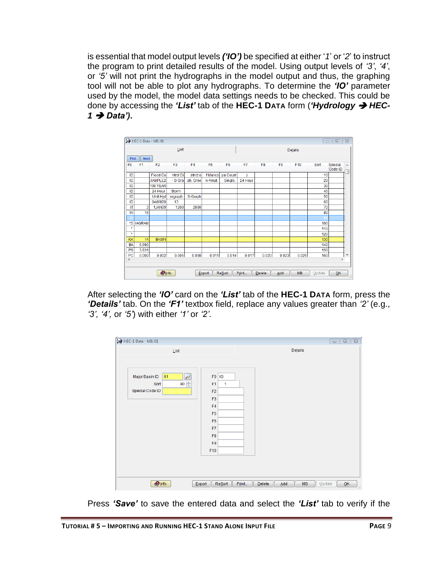is essential that model output levels *('IO')* be specified at either '*1*' or '*2*' to instruct the program to print detailed results of the model. Using output levels of *'3'*, *'4'*, or *'5'* will not print the hydrographs in the model output and thus, the graphing tool will not be able to plot any hydrographs. To determine the *'IO'* parameter used by the model, the model data settings needs to be checked. This could be done by accessing the *'List'* tab of the **HEC-1 DATA** form (*'Hydrology HEC-*1 → Data').

|                            |                |                 | List           |                |                |                |         |                |                | Details |      |                    |
|----------------------------|----------------|-----------------|----------------|----------------|----------------|----------------|---------|----------------|----------------|---------|------|--------------------|
| Find                       | Next           |                 |                |                |                |                |         |                |                |         |      |                    |
| F <sub>0</sub>             | F <sub>1</sub> | F <sub>2</sub>  | F <sub>3</sub> | F <sub>4</sub> | F <sub>5</sub> | F <sub>6</sub> | F7      | F <sub>8</sub> | F <sub>9</sub> | F10     | Sort | Special<br>Code ID |
| ID                         |                | Flood Co        | ntrol Di       | strict o       | f Marico       | pa Count       | y       |                |                |         | 10   |                    |
| ID                         |                | <b>EXAMPLE2</b> | - S-Gra        | ph, Gree       | n-Ampt,        | Single,        | 24 Hour |                |                |         | 20   |                    |
| ID                         |                | 100 YEAR        |                |                |                |                |         |                |                |         | 30   |                    |
| ID                         |                | 24 Hour         | <b>Storm</b>   |                |                |                |         |                |                |         | 40   |                    |
| ID                         |                | Unit Hyd        | rograph:       | S-Graph        |                |                |         |                |                |         | 50   |                    |
| ID                         |                | 04/09/20        | 13             |                |                |                |         |                |                |         | 60   |                    |
| IT                         | 3              | <b>1JAN99</b>   | 1200           | 2000           |                |                |         |                |                |         | 70   |                    |
| IN                         | 15             |                 |                |                |                |                |         |                |                |         | 80   |                    |
|                            |                |                 |                |                |                |                |         |                |                |         |      |                    |
| *D                         | <b>IAGRAM</b>  |                 |                |                |                |                |         |                |                |         | 100  |                    |
| $\star$                    |                |                 |                |                |                |                |         |                |                |         | 110  |                    |
| $\star$                    |                |                 |                |                |                |                |         |                |                |         | 120  |                    |
| KK                         | 1A             | <b>BASIN</b>    |                |                |                |                |         |                |                |         | 130  |                    |
| <b>BA</b>                  | 6.690          |                 |                |                |                |                |         |                |                |         | 140  |                    |
| PB                         | 3.831          |                 |                |                |                |                |         |                |                |         | 150  |                    |
| PC<br>$\blacktriangleleft$ | 0.000          | 0.002           | 0.005          | 0.008          | 0.011          | 0.014          | 0.017   | 0.020          | 0.023          | 0.026   | 160  | k                  |
|                            |                |                 |                |                |                |                |         |                |                |         |      |                    |

After selecting the *'IO'* card on the *'List'* tab of the **HEC-1 DATA** form, press the *'Details'* tab. On the *'F1'* textbox field, replace any values greater than *'2'* (e.g., *'3', '4',* or *'5'*) with either *'1'* or *'2'*.

| HEC-1 Data - MB: 01                                                      |                                                                                                                                                            |                                        | $\overline{\mathbb{Z}}$<br>$\Box$ |
|--------------------------------------------------------------------------|------------------------------------------------------------------------------------------------------------------------------------------------------------|----------------------------------------|-----------------------------------|
| List                                                                     |                                                                                                                                                            | Details                                |                                   |
| Major Basin ID<br>₽<br>01<br>90 $\Rightarrow$<br>Sort<br>Special Code ID | F0 10<br>F <sub>1</sub><br>$\mathbf{1}$<br>F <sub>2</sub><br>F <sub>3</sub><br>F <sub>4</sub><br>F <sub>5</sub><br>F6<br>F7<br>F <sub>8</sub><br>F9<br>F10 |                                        |                                   |
| $\bigcirc$ Info<br>Export                                                | Resort<br>Print                                                                                                                                            | MB<br><b>Delete</b><br>Add<br>$Update$ | QK<br>5                           |

Press *'Save'* to save the entered data and select the *'List'* tab to verify if the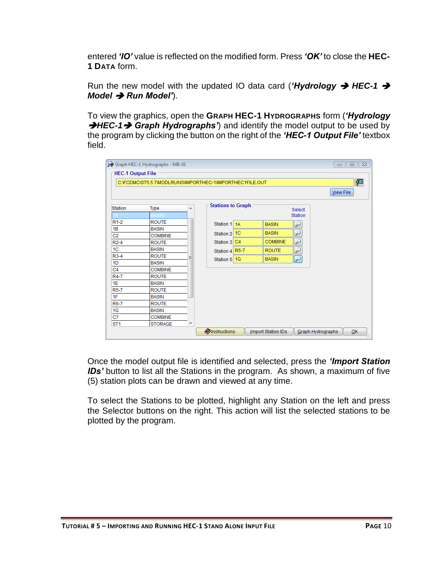entered *'IO'* value is reflected on the modified form. Press *'OK'* to close the **HEC-1 DATA** form.

Run the new model with the updated IO data card ('*Hydrology → HEC-1 → Model → Run Model'*).

To view the graphics, open the **GRAPH HEC-1 HYDROGRAPHS** form (*'Hydrology*  →HEC-1→ Graph Hydrographs<sup>\*</sup>) and identify the model output to be used by the program by clicking the button on the right of the *'HEC-1 Output File'* textbox field.

|                          | Graph HEC-1 Hydrographs - MB: 01                         |                     |                          |                |                           |                          | $\qquad \qquad =$ | $\Sigma$<br>$\Box$ |
|--------------------------|----------------------------------------------------------|---------------------|--------------------------|----------------|---------------------------|--------------------------|-------------------|--------------------|
| <b>HEC-1 Output File</b> |                                                          |                     |                          |                |                           |                          |                   |                    |
|                          | C:\FCDMC\ST5.5.7\MODLRUNS\IMPORTHEC-1\IMPORTHEC1FILE.OUT |                     |                          |                |                           |                          |                   | 徑                  |
|                          |                                                          |                     |                          |                |                           |                          |                   |                    |
|                          |                                                          |                     |                          |                |                           |                          | View File         |                    |
|                          |                                                          |                     | <b>Stations to Graph</b> |                |                           |                          |                   |                    |
| <b>Station</b>           | <b>Type</b>                                              | ▲                   |                          |                |                           | Select                   |                   |                    |
|                          |                                                          |                     |                          |                |                           | <b>Station</b>           |                   |                    |
| $R1-2$                   | <b>ROUTE</b>                                             |                     | Station 1 1A             |                | <b>BASIN</b>              |                          |                   |                    |
| 1B                       | <b>BASIN</b>                                             |                     |                          |                |                           |                          |                   |                    |
| C <sub>2</sub>           | <b>COMBINE</b>                                           |                     | Station 2 1C             |                | <b>BASIN</b>              |                          |                   |                    |
| $R2-4$                   | <b>ROUTE</b>                                             |                     | Station 3                | C <sub>4</sub> | <b>COMBINE</b>            |                          |                   |                    |
| 1 <sup>C</sup>           | <b>BASIN</b>                                             |                     | Station 4 R5-7           |                | <b>ROUTE</b>              | $\overline{\phantom{0}}$ |                   |                    |
| $R3-4$                   | <b>ROUTE</b>                                             | Ξ                   | Station 5 1G             |                | <b>BASIN</b>              | $\overline{\nu}$         |                   |                    |
| 1 <sub>D</sub>           | <b>BASIN</b>                                             |                     |                          |                |                           |                          |                   |                    |
| C <sub>4</sub>           | <b>COMBINE</b>                                           |                     |                          |                |                           |                          |                   |                    |
| R4-7                     | <b>ROUTE</b>                                             |                     |                          |                |                           |                          |                   |                    |
| 1E                       | <b>BASIN</b>                                             |                     |                          |                |                           |                          |                   |                    |
| <b>R5-7</b>              | <b>ROUTE</b>                                             |                     |                          |                |                           |                          |                   |                    |
| 1F                       | <b>BASIN</b>                                             |                     |                          |                |                           |                          |                   |                    |
| R6-7                     | <b>ROUTE</b>                                             |                     |                          |                |                           |                          |                   |                    |
| 1G                       | <b>BASIN</b>                                             |                     |                          |                |                           |                          |                   |                    |
| C7                       | <b>COMBINE</b>                                           |                     |                          |                |                           |                          |                   |                    |
| ST <sub>1</sub>          | <b>STORAGE</b>                                           | $\overline{\nabla}$ |                          |                |                           |                          |                   |                    |
|                          |                                                          |                     | <b>O</b> Instructions    |                | <b>Import Station IDs</b> |                          | Graph Hydrographs | OK                 |

Once the model output file is identified and selected, press the *'Import Station IDs'* button to list all the Stations in the program. As shown, a maximum of five (5) station plots can be drawn and viewed at any time.

To select the Stations to be plotted, highlight any Station on the left and press the Selector buttons on the right. This action will list the selected stations to be plotted by the program.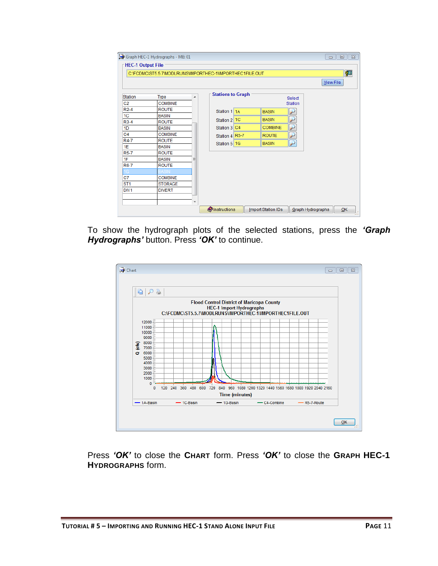|                  | C:\FCDMC\ST5.5.7\MODLRUNS\IMPORTHEC-1\IMPORTHEC1FILE.OUT |                          |                          |                |                | 霄<br><b>View File</b> |
|------------------|----------------------------------------------------------|--------------------------|--------------------------|----------------|----------------|-----------------------|
| <b>Station</b>   | <b>Type</b>                                              | ▲                        | <b>Stations to Graph</b> |                | Select         |                       |
| C <sub>2</sub>   | <b>COMBINE</b>                                           |                          |                          |                | <b>Station</b> |                       |
| $R2-4$           | <b>ROUTE</b>                                             |                          | Station 1 1A             | <b>BASIN</b>   |                |                       |
| 1 <sup>C</sup>   | <b>BASIN</b>                                             |                          | Station 2 1C             | <b>BASIN</b>   | لئو            |                       |
| $R3-4$           | <b>ROUTE</b>                                             |                          |                          | <b>COMBINE</b> |                |                       |
| 1 <sub>D</sub>   | <b>BASIN</b>                                             |                          | Station 3 C4             |                | ₽              |                       |
| C <sub>4</sub>   | <b>COMBINE</b>                                           |                          | Station 4 R5-7           | <b>ROUTE</b>   | ۶              |                       |
| R4-7             | <b>ROUTE</b>                                             |                          | Station 5 1G             | <b>BASIN</b>   | $\mathcal P$   |                       |
| 1E               | <b>BASIN</b>                                             |                          |                          |                |                |                       |
| <b>R5-7</b>      | <b>ROUTE</b>                                             |                          |                          |                |                |                       |
| 1F               | <b>BASIN</b>                                             | Ξ                        |                          |                |                |                       |
| <b>R6-7</b>      | <b>ROUTE</b>                                             |                          |                          |                |                |                       |
|                  | ASIN                                                     |                          |                          |                |                |                       |
| C7               | <b>COMBINE</b>                                           |                          |                          |                |                |                       |
| ST <sub>1</sub>  | <b>STORAGE</b>                                           |                          |                          |                |                |                       |
| DIV <sub>1</sub> | <b>DIVERT</b>                                            |                          |                          |                |                |                       |
|                  |                                                          | $\overline{\phantom{a}}$ |                          |                |                |                       |

To show the hydrograph plots of the selected stations, press the *'Graph Hydrographs'* button. Press *'OK'* to continue.



Press *'OK'* to close the **CHART** form. Press *'OK'* to close the **GRAPH HEC-1 HYDROGRAPHS** form.